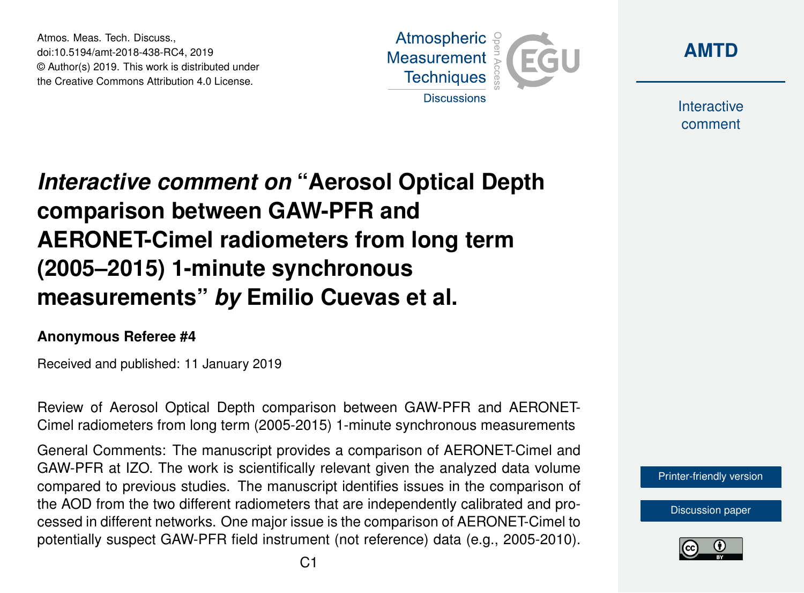Atmos. Meas. Tech. Discuss., doi:10.5194/amt-2018-438-RC4, 2019 © Author(s) 2019. This work is distributed under the Creative Commons Attribution 4.0 License.





**Interactive** comment

# *Interactive comment on* **"Aerosol Optical Depth comparison between GAW-PFR and AERONET-Cimel radiometers from long term (2005–2015) 1-minute synchronous measurements"** *by* **Emilio Cuevas et al.**

#### **Anonymous Referee #4**

Received and published: 11 January 2019

Review of Aerosol Optical Depth comparison between GAW-PFR and AERONET-Cimel radiometers from long term (2005-2015) 1-minute synchronous measurements

General Comments: The manuscript provides a comparison of AERONET-Cimel and GAW-PFR at IZO. The work is scientifically relevant given the analyzed data volume compared to previous studies. The manuscript identifies issues in the comparison of the AOD from the two different radiometers that are independently calibrated and processed in different networks. One major issue is the comparison of AERONET-Cimel to potentially suspect GAW-PFR field instrument (not reference) data (e.g., 2005-2010).

[Printer-friendly version](https://www.atmos-meas-tech-discuss.net/amt-2018-438/amt-2018-438-RC4-print.pdf)

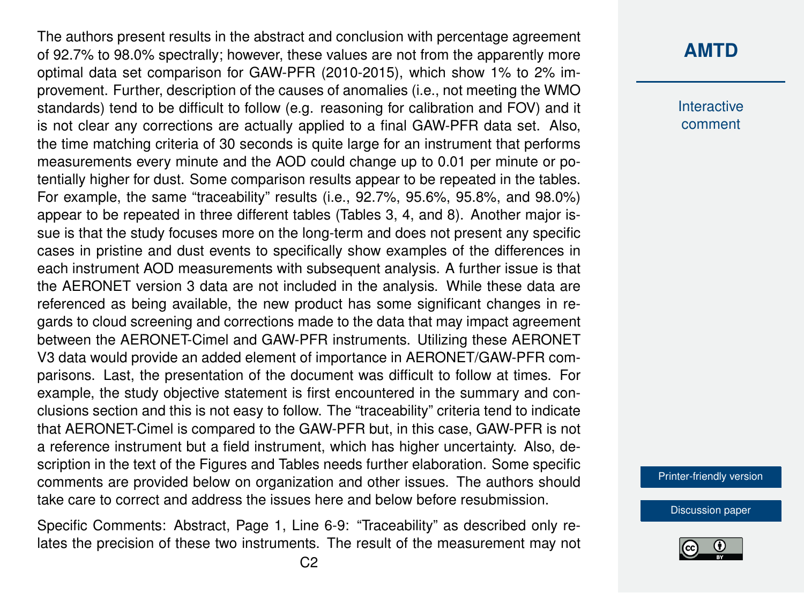The authors present results in the abstract and conclusion with percentage agreement of 92.7% to 98.0% spectrally; however, these values are not from the apparently more optimal data set comparison for GAW-PFR (2010-2015), which show 1% to 2% improvement. Further, description of the causes of anomalies (i.e., not meeting the WMO standards) tend to be difficult to follow (e.g. reasoning for calibration and FOV) and it is not clear any corrections are actually applied to a final GAW-PFR data set. Also, the time matching criteria of 30 seconds is quite large for an instrument that performs measurements every minute and the AOD could change up to 0.01 per minute or potentially higher for dust. Some comparison results appear to be repeated in the tables. For example, the same "traceability" results (i.e., 92.7%, 95.6%, 95.8%, and 98.0%) appear to be repeated in three different tables (Tables 3, 4, and 8). Another major issue is that the study focuses more on the long-term and does not present any specific cases in pristine and dust events to specifically show examples of the differences in each instrument AOD measurements with subsequent analysis. A further issue is that the AERONET version 3 data are not included in the analysis. While these data are referenced as being available, the new product has some significant changes in regards to cloud screening and corrections made to the data that may impact agreement between the AERONET-Cimel and GAW-PFR instruments. Utilizing these AERONET V3 data would provide an added element of importance in AERONET/GAW-PFR comparisons. Last, the presentation of the document was difficult to follow at times. For example, the study objective statement is first encountered in the summary and conclusions section and this is not easy to follow. The "traceability" criteria tend to indicate that AERONET-Cimel is compared to the GAW-PFR but, in this case, GAW-PFR is not a reference instrument but a field instrument, which has higher uncertainty. Also, description in the text of the Figures and Tables needs further elaboration. Some specific comments are provided below on organization and other issues. The authors should take care to correct and address the issues here and below before resubmission.

Specific Comments: Abstract, Page 1, Line 6-9: "Traceability" as described only relates the precision of these two instruments. The result of the measurement may not

### **[AMTD](https://www.atmos-meas-tech-discuss.net/)**

**Interactive** comment

[Printer-friendly version](https://www.atmos-meas-tech-discuss.net/amt-2018-438/amt-2018-438-RC4-print.pdf)

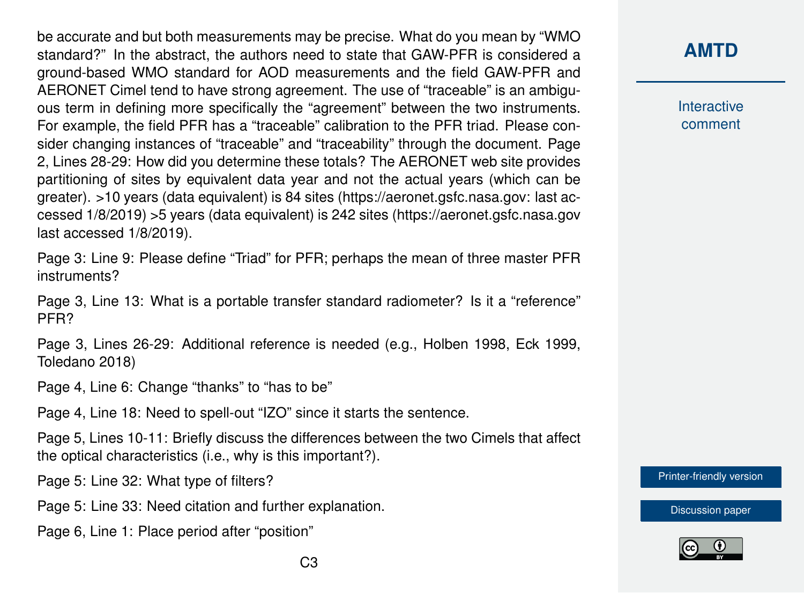be accurate and but both measurements may be precise. What do you mean by "WMO standard?" In the abstract, the authors need to state that GAW-PFR is considered a ground-based WMO standard for AOD measurements and the field GAW-PFR and AERONET Cimel tend to have strong agreement. The use of "traceable" is an ambiguous term in defining more specifically the "agreement" between the two instruments. For example, the field PFR has a "traceable" calibration to the PFR triad. Please consider changing instances of "traceable" and "traceability" through the document. Page 2, Lines 28-29: How did you determine these totals? The AERONET web site provides partitioning of sites by equivalent data year and not the actual years (which can be greater). >10 years (data equivalent) is 84 sites (https://aeronet.gsfc.nasa.gov: last accessed 1/8/2019) >5 years (data equivalent) is 242 sites (https://aeronet.gsfc.nasa.gov last accessed 1/8/2019).

Page 3: Line 9: Please define "Triad" for PFR; perhaps the mean of three master PFR instruments?

Page 3, Line 13: What is a portable transfer standard radiometer? Is it a "reference" PFR?

Page 3, Lines 26-29: Additional reference is needed (e.g., Holben 1998, Eck 1999, Toledano 2018)

Page 4, Line 6: Change "thanks" to "has to be"

Page 4, Line 18: Need to spell-out "IZO" since it starts the sentence.

Page 5, Lines 10-11: Briefly discuss the differences between the two Cimels that affect the optical characteristics (i.e., why is this important?).

Page 5: Line 32: What type of filters?

Page 5: Line 33: Need citation and further explanation.

Page 6, Line 1: Place period after "position"

### **[AMTD](https://www.atmos-meas-tech-discuss.net/)**

**Interactive** comment

[Printer-friendly version](https://www.atmos-meas-tech-discuss.net/amt-2018-438/amt-2018-438-RC4-print.pdf)

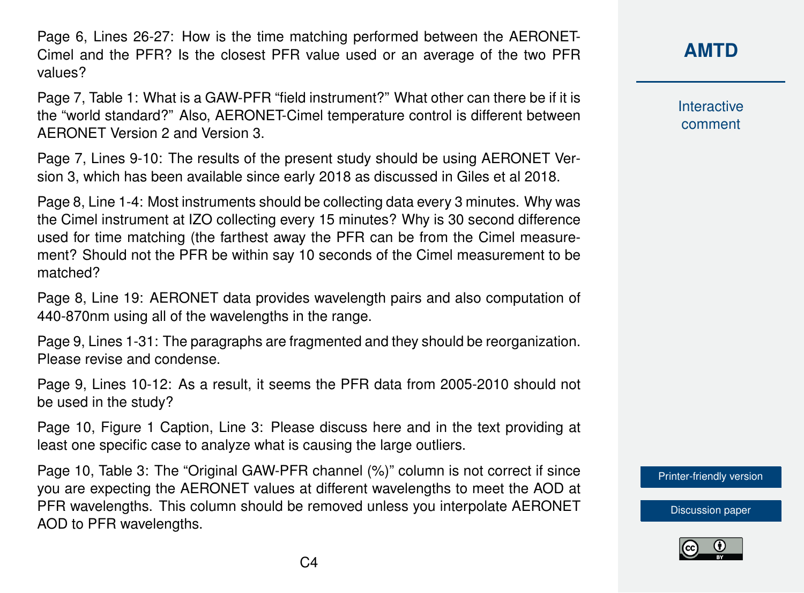Page 6, Lines 26-27: How is the time matching performed between the AERONET-Cimel and the PFR? Is the closest PFR value used or an average of the two PFR values?

Page 7, Table 1: What is a GAW-PFR "field instrument?" What other can there be if it is the "world standard?" Also, AERONET-Cimel temperature control is different between AERONET Version 2 and Version 3.

Page 7, Lines 9-10: The results of the present study should be using AERONET Version 3, which has been available since early 2018 as discussed in Giles et al 2018.

Page 8, Line 1-4: Most instruments should be collecting data every 3 minutes. Why was the Cimel instrument at IZO collecting every 15 minutes? Why is 30 second difference used for time matching (the farthest away the PFR can be from the Cimel measurement? Should not the PFR be within say 10 seconds of the Cimel measurement to be matched?

Page 8, Line 19: AERONET data provides wavelength pairs and also computation of 440-870nm using all of the wavelengths in the range.

Page 9, Lines 1-31: The paragraphs are fragmented and they should be reorganization. Please revise and condense.

Page 9, Lines 10-12: As a result, it seems the PFR data from 2005-2010 should not be used in the study?

Page 10, Figure 1 Caption, Line 3: Please discuss here and in the text providing at least one specific case to analyze what is causing the large outliers.

Page 10, Table 3: The "Original GAW-PFR channel (%)" column is not correct if since you are expecting the AERONET values at different wavelengths to meet the AOD at PFR wavelengths. This column should be removed unless you interpolate AERONET AOD to PFR wavelengths.

**[AMTD](https://www.atmos-meas-tech-discuss.net/)**

**Interactive** comment

[Printer-friendly version](https://www.atmos-meas-tech-discuss.net/amt-2018-438/amt-2018-438-RC4-print.pdf)

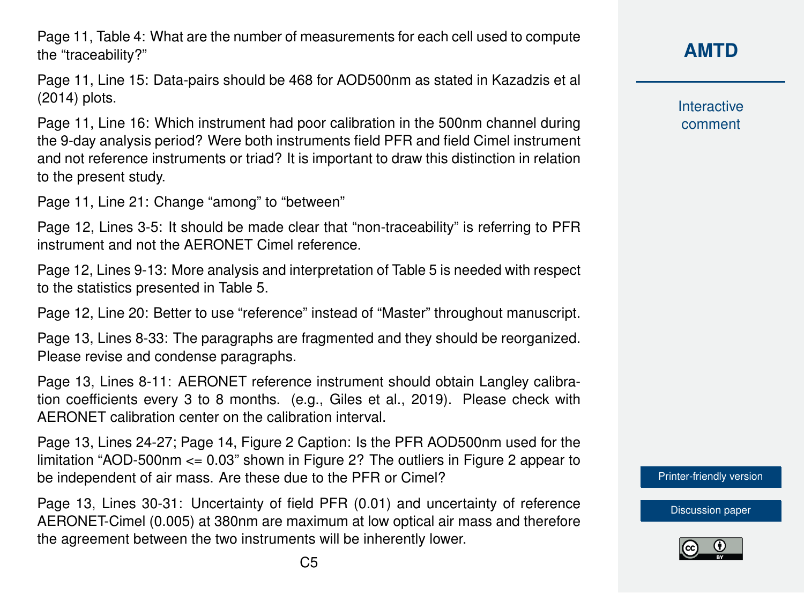Page 11, Table 4: What are the number of measurements for each cell used to compute the "traceability?"

Page 11, Line 15: Data-pairs should be 468 for AOD500nm as stated in Kazadzis et al (2014) plots.

Page 11, Line 16: Which instrument had poor calibration in the 500nm channel during the 9-day analysis period? Were both instruments field PFR and field Cimel instrument and not reference instruments or triad? It is important to draw this distinction in relation to the present study.

Page 11, Line 21: Change "among" to "between"

Page 12, Lines 3-5: It should be made clear that "non-traceability" is referring to PFR instrument and not the AERONET Cimel reference.

Page 12, Lines 9-13: More analysis and interpretation of Table 5 is needed with respect to the statistics presented in Table 5.

Page 12, Line 20: Better to use "reference" instead of "Master" throughout manuscript.

Page 13, Lines 8-33: The paragraphs are fragmented and they should be reorganized. Please revise and condense paragraphs.

Page 13, Lines 8-11: AERONET reference instrument should obtain Langley calibration coefficients every 3 to 8 months. (e.g., Giles et al., 2019). Please check with AERONET calibration center on the calibration interval.

Page 13, Lines 24-27; Page 14, Figure 2 Caption: Is the PFR AOD500nm used for the limitation "AOD-500nm <= 0.03" shown in Figure 2? The outliers in Figure 2 appear to be independent of air mass. Are these due to the PFR or Cimel?

Page 13, Lines 30-31: Uncertainty of field PFR (0.01) and uncertainty of reference AERONET-Cimel (0.005) at 380nm are maximum at low optical air mass and therefore the agreement between the two instruments will be inherently lower.

**Interactive** comment

[Printer-friendly version](https://www.atmos-meas-tech-discuss.net/amt-2018-438/amt-2018-438-RC4-print.pdf)

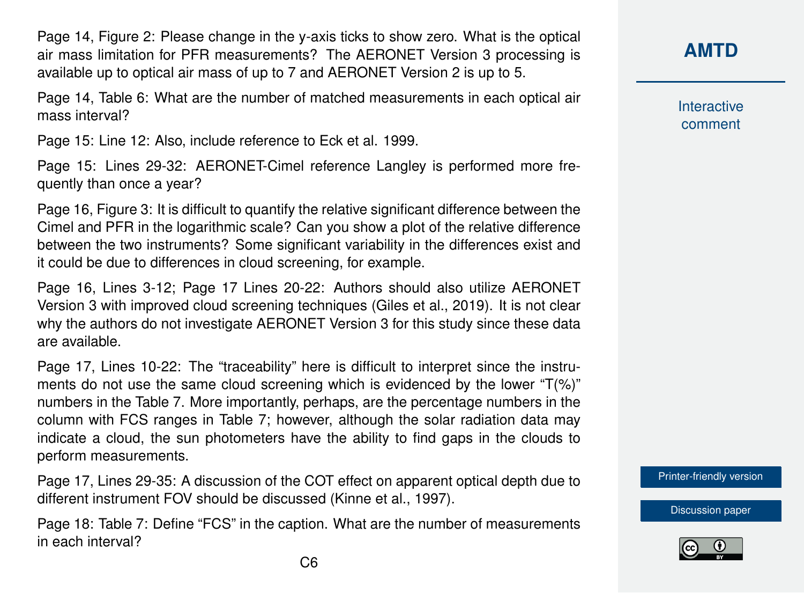Page 14, Figure 2: Please change in the y-axis ticks to show zero. What is the optical air mass limitation for PFR measurements? The AERONET Version 3 processing is available up to optical air mass of up to 7 and AERONET Version 2 is up to 5.

Page 14, Table 6: What are the number of matched measurements in each optical air mass interval?

Page 15: Line 12: Also, include reference to Eck et al. 1999.

Page 15: Lines 29-32: AERONET-Cimel reference Langley is performed more frequently than once a year?

Page 16, Figure 3: It is difficult to quantify the relative significant difference between the Cimel and PFR in the logarithmic scale? Can you show a plot of the relative difference between the two instruments? Some significant variability in the differences exist and it could be due to differences in cloud screening, for example.

Page 16, Lines 3-12; Page 17 Lines 20-22: Authors should also utilize AERONET Version 3 with improved cloud screening techniques (Giles et al., 2019). It is not clear why the authors do not investigate AERONET Version 3 for this study since these data are available.

Page 17, Lines 10-22: The "traceability" here is difficult to interpret since the instruments do not use the same cloud screening which is evidenced by the lower "T(%)" numbers in the Table 7. More importantly, perhaps, are the percentage numbers in the column with FCS ranges in Table 7; however, although the solar radiation data may indicate a cloud, the sun photometers have the ability to find gaps in the clouds to perform measurements.

Page 17, Lines 29-35: A discussion of the COT effect on apparent optical depth due to different instrument FOV should be discussed (Kinne et al., 1997).

Page 18: Table 7: Define "FCS" in the caption. What are the number of measurements in each interval?

**[AMTD](https://www.atmos-meas-tech-discuss.net/)**

**Interactive** comment

[Printer-friendly version](https://www.atmos-meas-tech-discuss.net/amt-2018-438/amt-2018-438-RC4-print.pdf)

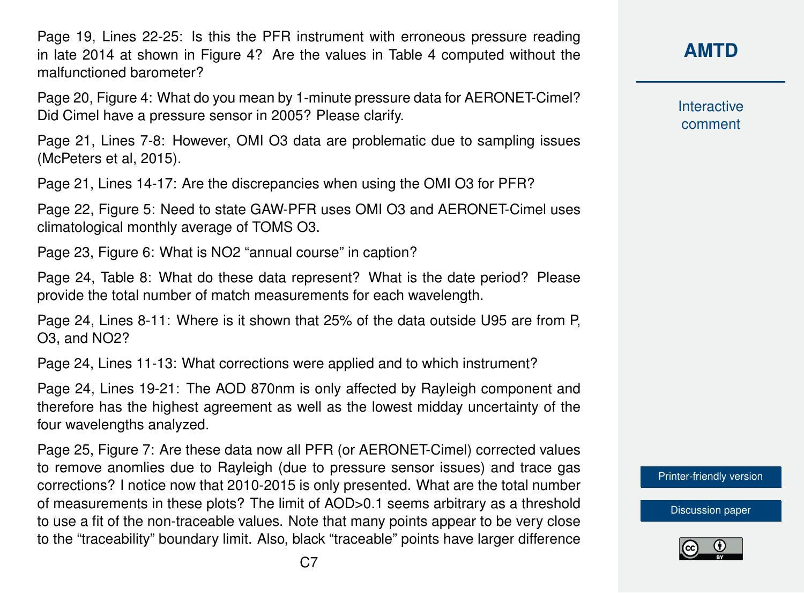Page 19, Lines 22-25: Is this the PFR instrument with erroneous pressure reading in late 2014 at shown in Figure 4? Are the values in Table 4 computed without the malfunctioned barometer?

Page 20, Figure 4: What do you mean by 1-minute pressure data for AERONET-Cimel? Did Cimel have a pressure sensor in 2005? Please clarify.

Page 21, Lines 7-8: However, OMI O3 data are problematic due to sampling issues (McPeters et al, 2015).

Page 21, Lines 14-17: Are the discrepancies when using the OMI O3 for PFR?

Page 22, Figure 5: Need to state GAW-PFR uses OMI O3 and AERONET-Cimel uses climatological monthly average of TOMS O3.

Page 23, Figure 6: What is NO2 "annual course" in caption?

Page 24, Table 8: What do these data represent? What is the date period? Please provide the total number of match measurements for each wavelength.

Page 24, Lines 8-11: Where is it shown that 25% of the data outside U95 are from P, O3, and NO2?

Page 24, Lines 11-13: What corrections were applied and to which instrument?

Page 24, Lines 19-21: The AOD 870nm is only affected by Rayleigh component and therefore has the highest agreement as well as the lowest midday uncertainty of the four wavelengths analyzed.

Page 25, Figure 7: Are these data now all PFR (or AERONET-Cimel) corrected values to remove anomlies due to Rayleigh (due to pressure sensor issues) and trace gas corrections? I notice now that 2010-2015 is only presented. What are the total number of measurements in these plots? The limit of AOD>0.1 seems arbitrary as a threshold to use a fit of the non-traceable values. Note that many points appear to be very close to the "traceability" boundary limit. Also, black "traceable" points have larger difference **Interactive** comment

[Printer-friendly version](https://www.atmos-meas-tech-discuss.net/amt-2018-438/amt-2018-438-RC4-print.pdf)

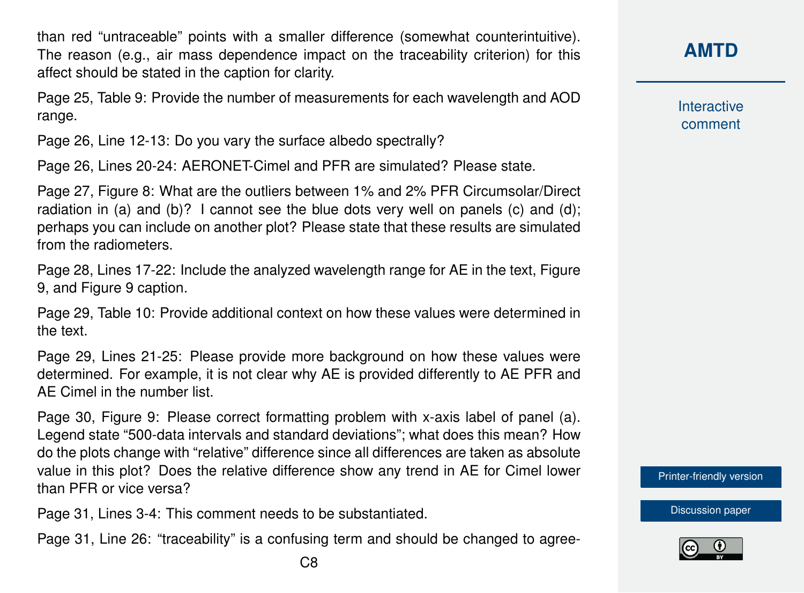than red "untraceable" points with a smaller difference (somewhat counterintuitive). The reason (e.g., air mass dependence impact on the traceability criterion) for this affect should be stated in the caption for clarity.

Page 25, Table 9: Provide the number of measurements for each wavelength and AOD range.

Page 26, Line 12-13: Do you vary the surface albedo spectrally?

Page 26, Lines 20-24: AERONET-Cimel and PFR are simulated? Please state.

Page 27, Figure 8: What are the outliers between 1% and 2% PFR Circumsolar/Direct radiation in (a) and (b)? I cannot see the blue dots very well on panels (c) and (d); perhaps you can include on another plot? Please state that these results are simulated from the radiometers.

Page 28, Lines 17-22: Include the analyzed wavelength range for AE in the text, Figure 9, and Figure 9 caption.

Page 29, Table 10: Provide additional context on how these values were determined in the text.

Page 29, Lines 21-25: Please provide more background on how these values were determined. For example, it is not clear why AE is provided differently to AE PFR and AE Cimel in the number list.

Page 30, Figure 9: Please correct formatting problem with x-axis label of panel (a). Legend state "500-data intervals and standard deviations"; what does this mean? How do the plots change with "relative" difference since all differences are taken as absolute value in this plot? Does the relative difference show any trend in AE for Cimel lower than PFR or vice versa?

Page 31, Lines 3-4: This comment needs to be substantiated.

Page 31, Line 26: "traceability" is a confusing term and should be changed to agree-

**[AMTD](https://www.atmos-meas-tech-discuss.net/)**

**Interactive** comment

[Printer-friendly version](https://www.atmos-meas-tech-discuss.net/amt-2018-438/amt-2018-438-RC4-print.pdf)